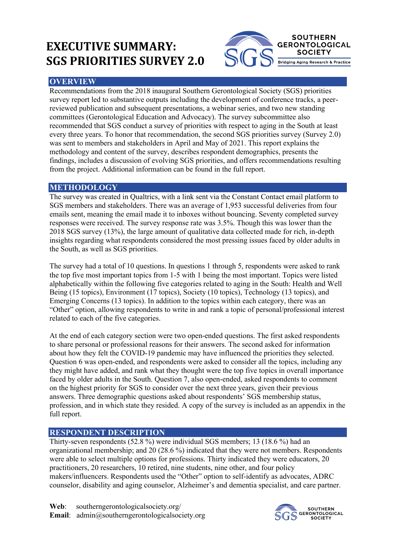# **EXECUTIVE SUMMARY: SGS PRIORITIES SURVEY 2.0**



### **OVERVIEW**

Recommendations from the 2018 inaugural Southern Gerontological Society (SGS) priorities survey report led to substantive outputs including the development of conference tracks, a peerreviewed publication and subsequent presentations, a webinar series, and two new standing committees (Gerontological Education and Advocacy). The survey subcommittee also recommended that SGS conduct a survey of priorities with respect to aging in the South at least every three years. To honor that recommendation, the second SGS priorities survey (Survey 2.0) was sent to members and stakeholders in April and May of 2021. This report explains the methodology and content of the survey, describes respondent demographics, presents the findings, includes a discussion of evolving SGS priorities, and offers recommendations resulting from the project. Additional information can be found in the full report.

#### **METHODOLOGY**

The survey was created in Qualtrics, with a link sent via the Constant Contact email platform to SGS members and stakeholders. There was an average of 1,953 successful deliveries from four emails sent, meaning the email made it to inboxes without bouncing. Seventy completed survey responses were received. The survey response rate was 3.5%. Though this was lower than the 2018 SGS survey (13%), the large amount of qualitative data collected made for rich, in-depth insights regarding what respondents considered the most pressing issues faced by older adults in the South, as well as SGS priorities.

The survey had a total of 10 questions. In questions 1 through 5, respondents were asked to rank the top five most important topics from 1-5 with 1 being the most important. Topics were listed alphabetically within the following five categories related to aging in the South: Health and Well Being (15 topics), Environment (17 topics), Society (10 topics), Technology (13 topics), and Emerging Concerns (13 topics). In addition to the topics within each category, there was an "Other" option, allowing respondents to write in and rank a topic of personal/professional interest related to each of the five categories.

At the end of each category section were two open-ended questions. The first asked respondents to share personal or professional reasons for their answers. The second asked for information about how they felt the COVID-19 pandemic may have influenced the priorities they selected. Question 6 was open-ended, and respondents were asked to consider all the topics, including any they might have added, and rank what they thought were the top five topics in overall importance faced by older adults in the South. Question 7, also open-ended, asked respondents to comment on the highest priority for SGS to consider over the next three years, given their previous answers. Three demographic questions asked about respondents' SGS membership status, profession, and in which state they resided. A copy of the survey is included as an appendix in the full report.

## **RESPONDENT DESCRIPTION**

Thirty-seven respondents (52.8 %) were individual SGS members; 13 (18.6 %) had an organizational membership; and 20 (28.6 %) indicated that they were not members. Respondents were able to select multiple options for professions. Thirty indicated they were educators, 20 practitioners, 20 researchers, 10 retired, nine students, nine other, and four policy makers/influencers. Respondents used the "Other" option to self-identify as advocates, ADRC counselor, disability and aging counselor, Alzheimer's and dementia specialist, and care partner.

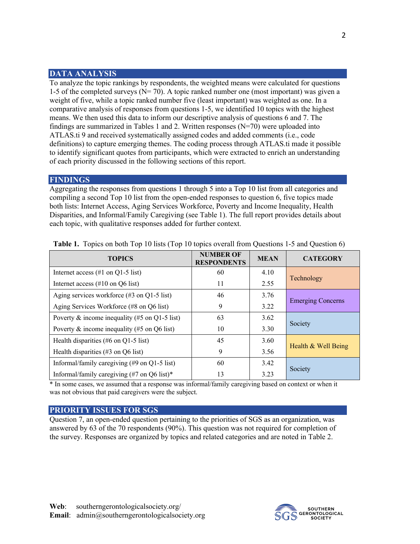#### **DATA ANALYSIS**

To analyze the topic rankings by respondents, the weighted means were calculated for questions 1-5 of the completed surveys ( $N = 70$ ). A topic ranked number one (most important) was given a weight of five, while a topic ranked number five (least important) was weighted as one. In a comparative analysis of responses from questions 1-5, we identified 10 topics with the highest means. We then used this data to inform our descriptive analysis of questions 6 and 7. The findings are summarized in Tables 1 and 2. Written responses  $(N=70)$  were uploaded into ATLAS.ti 9 and received systematically assigned codes and added comments (i.e., code definitions) to capture emerging themes. The coding process through ATLAS.ti made it possible to identify significant quotes from participants, which were extracted to enrich an understanding of each priority discussed in the following sections of this report.

#### **FINDINGS**

Aggregating the responses from questions 1 through 5 into a Top 10 list from all categories and compiling a second Top 10 list from the open-ended responses to question 6, five topics made both lists: Internet Access, Aging Services Workforce, Poverty and Income Inequality, Health Disparities, and Informal/Family Caregiving (see Table 1). The full report provides details about each topic, with qualitative responses added for further context.

| <b>TOPICS</b>                                                  | <b>NUMBER OF</b><br><b>RESPONDENTS</b> | <b>MEAN</b> | <b>CATEGORY</b>          |
|----------------------------------------------------------------|----------------------------------------|-------------|--------------------------|
| Internet access $(\#1 \text{ on } Q1-5 \text{ list})$          | 60                                     | 4.10        | Technology               |
| Internet access $(\#10 \text{ on } Q6 \text{ list})$           | 11                                     | 2.55        |                          |
| Aging services workforce $(\#3 \text{ on } Q1-5 \text{ list})$ | 46                                     | 3.76        | <b>Emerging Concerns</b> |
| Aging Services Workforce (#8 on Q6 list)                       | 9                                      | 3.22        |                          |
| Poverty & income inequality (#5 on Q1-5 list)                  | 63                                     | 3.62        | Society                  |
| Poverty $\&$ income inequality (#5 on Q6 list)                 | 10                                     | 3.30        |                          |
| Health disparities (#6 on Q1-5 list)                           | 45                                     | 3.60        |                          |
| Health disparities $(\#3 \text{ on } Q6 \text{ list})$         | 9                                      | 3.56        | Health & Well Being      |
| Informal/family caregiving (#9 on Q1-5 list)                   | 60                                     | 3.42        | Society                  |
| Informal/family caregiving (#7 on Q6 list)*                    | 13                                     | 3.23        |                          |

**Table 1.** Topics on both Top 10 lists (Top 10 topics overall from Questions 1-5 and Question 6)

\* In some cases, we assumed that a response was informal/family caregiving based on context or when it was not obvious that paid caregivers were the subject.

#### **PRIORITY ISSUES FOR SGS**

Question 7, an open-ended question pertaining to the priorities of SGS as an organization, was answered by 63 of the 70 respondents (90%). This question was not required for completion of the survey. Responses are organized by topics and related categories and are noted in Table 2.

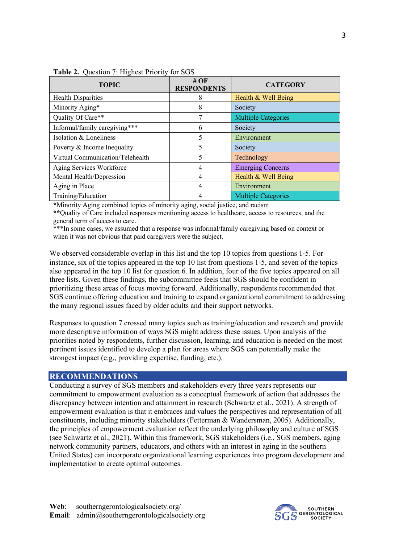| <b>TOPIC</b>                     | # $\overline{OF}$<br><b>RESPONDENTS</b> | <b>CATEGORY</b>            |
|----------------------------------|-----------------------------------------|----------------------------|
| <b>Health Disparities</b>        | 8                                       | Health & Well Being        |
| Minority Aging*                  | 8                                       | Society                    |
| Quality Of Care**                |                                         | <b>Multiple Categories</b> |
| Informal/family caregiving***    | 6                                       | Society                    |
| Isolation & Loneliness           | 5                                       | Environment                |
| Poverty & Income Inequality      | 5                                       | Society                    |
| Virtual Communication/Telehealth |                                         | Technology                 |
| Aging Services Workforce         | 4                                       | <b>Emerging Concerns</b>   |
| Mental Health/Depression         |                                         | Health & Well Being        |
| Aging in Place                   |                                         | Environment                |
| Training/Education               |                                         | <b>Multiple Categories</b> |

Table 2. Ouestion 7: Highest Priority for SGS

**\***Minority Aging combined topics of minority aging, social justice, and racism

**\*\***Quality of Care included responses mentioning access to healthcare, access to resources, and the general term of access to care.

\*\*\*In some cases, we assumed that a response was informal/family caregiving based on context or when it was not obvious that paid caregivers were the subject.

We observed considerable overlap in this list and the top 10 topics from questions 1-5. For instance, six of the topics appeared in the top 10 list from questions 1-5, and seven of the topics also appeared in the top 10 list for question 6. In addition, four of the five topics appeared on all three lists. Given these findings, the subcommittee feels that SGS should be confident in prioritizing these areas of focus moving forward. Additionally, respondents recommended that SGS continue offering education and training to expand organizational commitment to addressing the many regional issues faced by older adults and their support networks.

Responses to question 7 crossed many topics such as training/education and research and provide more descriptive information of ways SGS might address these issues. Upon analysis of the priorities noted by respondents, further discussion, learning, and education is needed on the most pertinent issues identified to develop a plan for areas where SGS can potentially make the strongest impact (e.g., providing expertise, funding, etc.).

#### **RECOMMENDATIONS**

Conducting a survey of SGS members and stakeholders every three years represents our commitment to empowerment evaluation as a conceptual framework of action that addresses the discrepancy between intention and attainment in research (Schwartz et al., 2021). A strength of empowerment evaluation is that it embraces and values the perspectives and representation of all constituents, including minority stakeholders (Fetterman & Wandersman, 2005). Additionally, the principles of empowerment evaluation reflect the underlying philosophy and culture of SGS (see Schwartz et al., 2021). Within this framework, SGS stakeholders (i.e., SGS members, aging network community partners, educators, and others with an interest in aging in the southern United States) can incorporate organizational learning experiences into program development and implementation to create optimal outcomes.